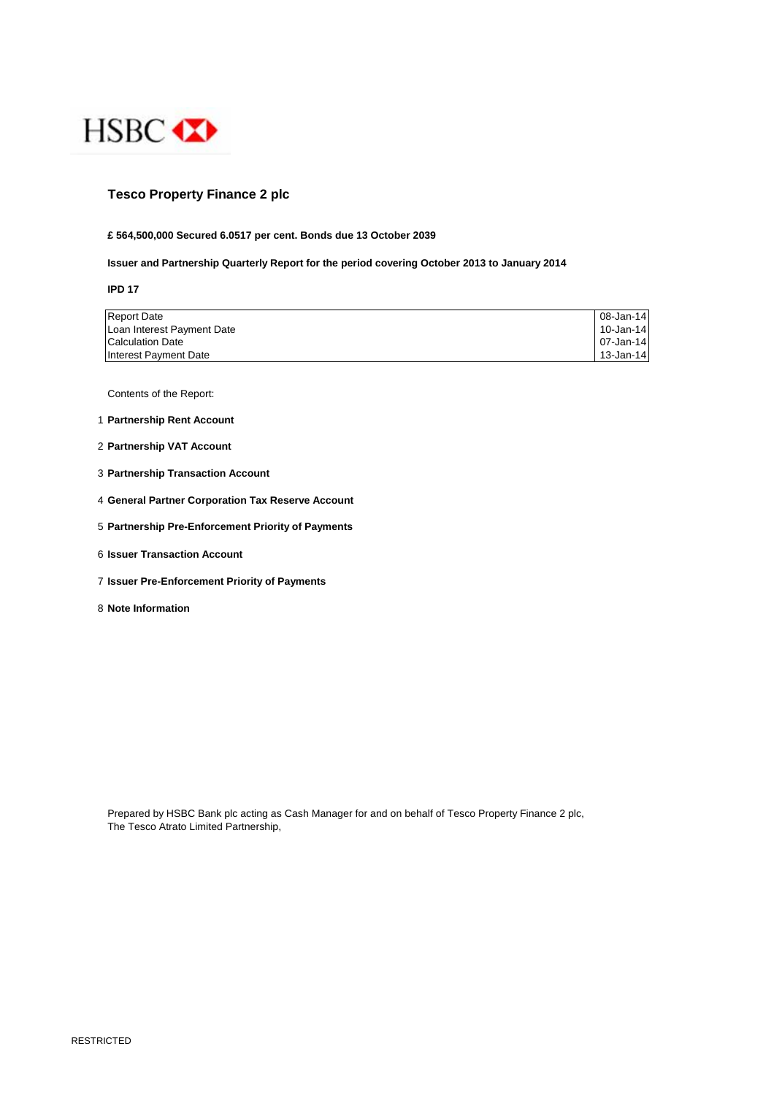

## **Tesco Property Finance 2 plc**

#### **£ 564,500,000 Secured 6.0517 per cent. Bonds due 13 October 2039**

### **Issuer and Partnership Quarterly Report for the period covering October 2013 to January 2014**

**IPD 17**

| <b>Report Date</b>         | 08-Jan-14 |
|----------------------------|-----------|
| Loan Interest Payment Date | 10-Jan-14 |
| <b>Calculation Date</b>    | 07-Jan-14 |
| Interest Payment Date      | 13-Jan-14 |

Contents of the Report:

- 1 **Partnership Rent Account**
- 2 **Partnership VAT Account**
- 3 **Partnership Transaction Account**
- 4 **General Partner Corporation Tax Reserve Account**
- 5 **Partnership Pre-Enforcement Priority of Payments**
- 6 **Issuer Transaction Account**
- 7 **Issuer Pre-Enforcement Priority of Payments**
- 8 **Note Information**

Prepared by HSBC Bank plc acting as Cash Manager for and on behalf of Tesco Property Finance 2 plc, The Tesco Atrato Limited Partnership,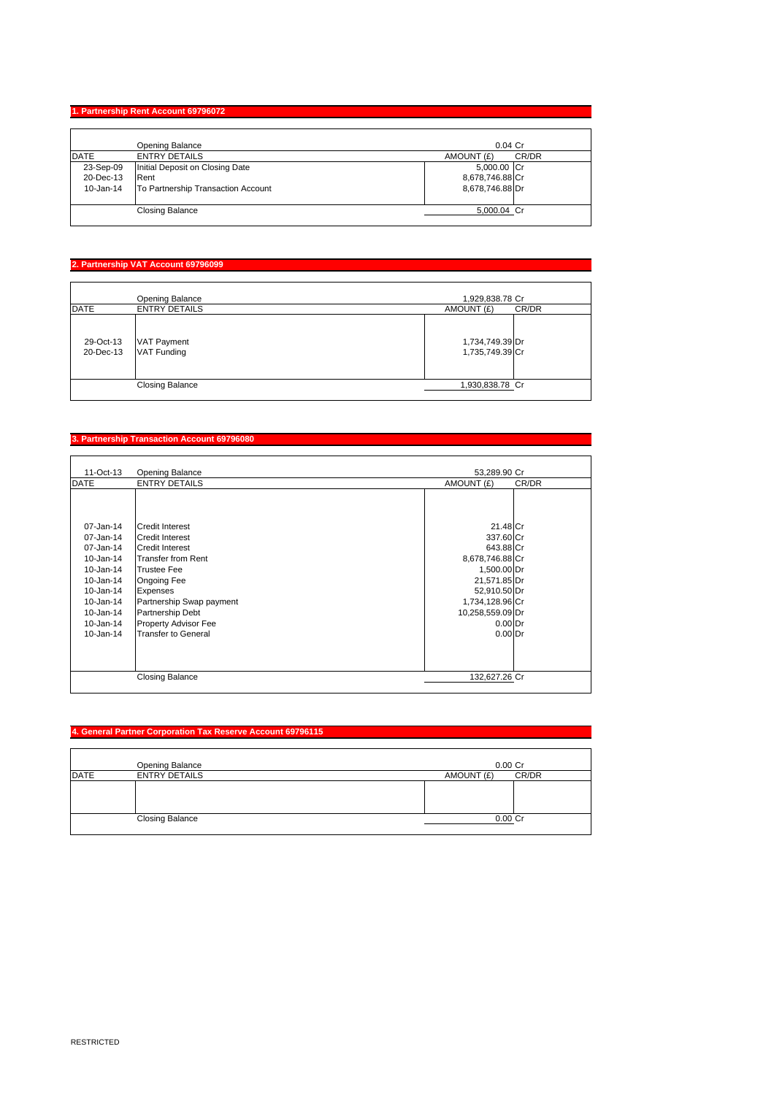## **1. Partnership Rent Account 69796072**

|             | Opening Balance                    | $0.04$ Cr           |
|-------------|------------------------------------|---------------------|
| <b>DATE</b> | <b>ENTRY DETAILS</b>               | CR/DR<br>AMOUNT (£) |
| 23-Sep-09   | Initial Deposit on Closing Date    | 5,000.00 Cr         |
| 20-Dec-13   | Rent                               | 8,678,746.88 Cr     |
| 10-Jan-14   | To Partnership Transaction Account | 8,678,746.88 Dr     |
|             | <b>Closing Balance</b>             | 5,000.04 Cr         |

# **2. Partnership VAT Account 69796099**

|                        | Opening Balance                          | 1,929,838.78 Cr                    |
|------------------------|------------------------------------------|------------------------------------|
| <b>DATE</b>            | <b>ENTRY DETAILS</b>                     | AMOUNT (£)<br>CR/DR                |
| 29-Oct-13<br>20-Dec-13 | <b>VAT Payment</b><br><b>VAT Funding</b> | 1,734,749.39 Dr<br>1,735,749.39 Cr |
|                        | <b>Closing Balance</b>                   | 1,930,838.78 Cr                    |

## **3. Partnership Transaction Account 69796080**

| 11-Oct-13       | <b>Opening Balance</b>   | 53.289.90 Cr        |
|-----------------|--------------------------|---------------------|
| <b>DATE</b>     | <b>ENTRY DETAILS</b>     | AMOUNT (£)<br>CR/DR |
|                 |                          |                     |
|                 |                          |                     |
|                 |                          |                     |
| $07 - Jan - 14$ | <b>Credit Interest</b>   | 21.48 Cr            |
| 07-Jan-14       | <b>Credit Interest</b>   | 337.60 Cr           |
| 07-Jan-14       | <b>Credit Interest</b>   | 643.88 Cr           |
| 10-Jan-14       | Transfer from Rent       | 8,678,746.88 Cr     |
| $10 - Jan-14$   | <b>Trustee Fee</b>       | 1,500.00 Dr         |
| 10-Jan-14       | <b>Ongoing Fee</b>       | 21,571.85 Dr        |
| 10-Jan-14       | Expenses                 | 52,910.50 Dr        |
| 10-Jan-14       | Partnership Swap payment | 1,734,128.96 Cr     |
| 10-Jan-14       | Partnership Debt         | 10,258,559.09 Dr    |
| 10-Jan-14       | Property Advisor Fee     | $0.00$ Dr           |
| $10 - Jan-14$   | Transfer to General      | $0.00$ Dr           |
|                 |                          |                     |
|                 |                          |                     |
|                 |                          |                     |
|                 | <b>Closing Balance</b>   | 132,627.26 Cr       |

## **4. General Partner Corporation Tax Reserve Account 69796115**

|             | Opening Balance        | $0.00$ Cr           |
|-------------|------------------------|---------------------|
| <b>DATE</b> | <b>ENTRY DETAILS</b>   | CR/DR<br>AMOUNT (£) |
|             |                        |                     |
|             |                        |                     |
|             |                        |                     |
|             | <b>Closing Balance</b> | $0.00$ Cr           |
|             |                        |                     |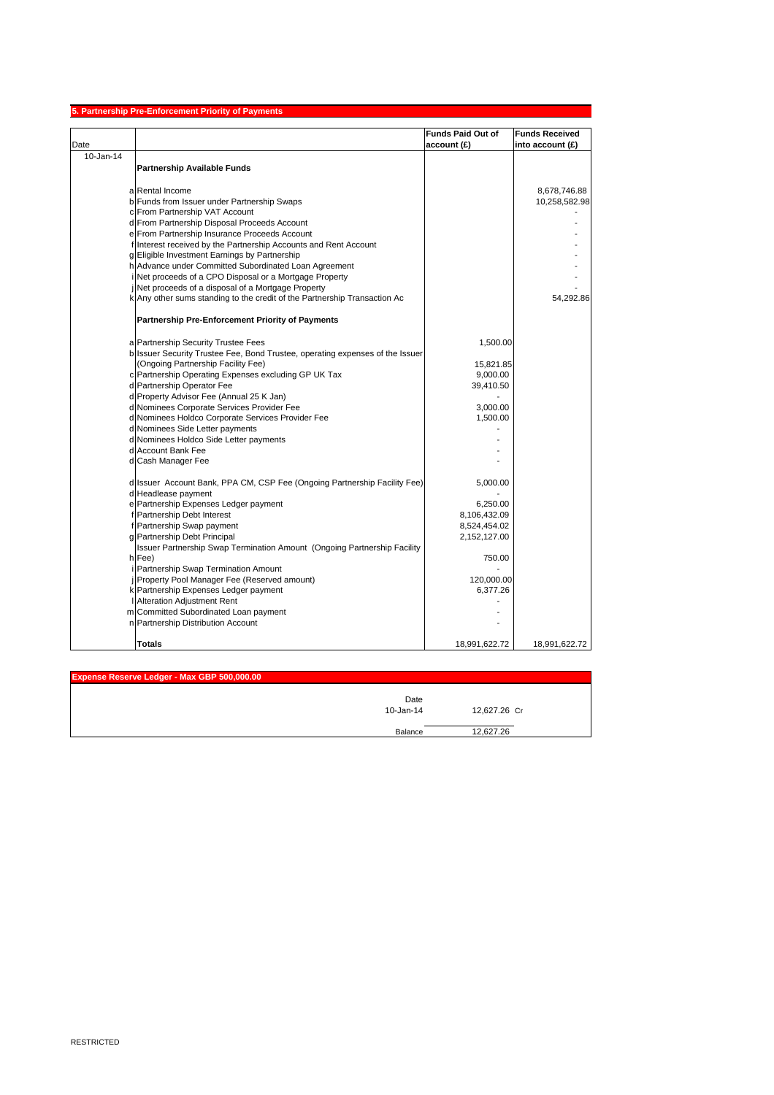| <b>Funds Paid Out of</b><br><b>Funds Received</b><br>account(E)<br>into account (£)<br>10-Jan-14<br>Partnership Available Funds<br>a Rental Income<br>8,678,746.88<br>b Funds from Issuer under Partnership Swaps<br>10,258,582.98<br>c From Partnership VAT Account<br>d From Partnership Disposal Proceeds Account<br>e From Partnership Insurance Proceeds Account<br>f Interest received by the Partnership Accounts and Rent Account<br>g Eligible Investment Earnings by Partnership<br>h Advance under Committed Subordinated Loan Agreement<br>Net proceeds of a CPO Disposal or a Mortgage Property<br>Net proceeds of a disposal of a Mortgage Property<br>k Any other sums standing to the credit of the Partnership Transaction Ac<br>54,292.86<br><b>Partnership Pre-Enforcement Priority of Payments</b><br>a Partnership Security Trustee Fees<br>1,500.00<br>b Issuer Security Trustee Fee, Bond Trustee, operating expenses of the Issuer<br>(Ongoing Partnership Facility Fee)<br>15,821.85<br>c Partnership Operating Expenses excluding GP UK Tax<br>9,000.00<br>d Partnership Operator Fee<br>39,410.50<br>d Property Advisor Fee (Annual 25 K Jan)<br>d Nominees Corporate Services Provider Fee<br>3,000.00<br>d Nominees Holdco Corporate Services Provider Fee<br>1,500.00<br>d Nominees Side Letter payments<br>d Nominees Holdco Side Letter payments<br>d Account Bank Fee<br>d Cash Manager Fee<br>d Issuer Account Bank, PPA CM, CSP Fee (Ongoing Partnership Facility Fee)<br>5,000.00<br>d Headlease payment<br>e Partnership Expenses Ledger payment<br>6,250.00<br>f Partnership Debt Interest<br>8,106,432.09<br>f Partnership Swap payment<br>8,524,454.02<br>g Partnership Debt Principal<br>2,152,127.00<br>Issuer Partnership Swap Termination Amount (Ongoing Partnership Facility<br>h Fee)<br>750.00<br>Partnership Swap Termination Amount<br>Property Pool Manager Fee (Reserved amount)<br>120,000.00<br>k Partnership Expenses Ledger payment<br>6,377.26<br>Alteration Adjustment Rent<br>m Committed Subordinated Loan payment<br>n Partnership Distribution Account |      | 5. Partnership Pre-Enforcement Priority of Payments |               |               |
|----------------------------------------------------------------------------------------------------------------------------------------------------------------------------------------------------------------------------------------------------------------------------------------------------------------------------------------------------------------------------------------------------------------------------------------------------------------------------------------------------------------------------------------------------------------------------------------------------------------------------------------------------------------------------------------------------------------------------------------------------------------------------------------------------------------------------------------------------------------------------------------------------------------------------------------------------------------------------------------------------------------------------------------------------------------------------------------------------------------------------------------------------------------------------------------------------------------------------------------------------------------------------------------------------------------------------------------------------------------------------------------------------------------------------------------------------------------------------------------------------------------------------------------------------------------------------------------------------------------------------------------------------------------------------------------------------------------------------------------------------------------------------------------------------------------------------------------------------------------------------------------------------------------------------------------------------------------------------------------------------------------------------------------------------------------------------------------------------------------------|------|-----------------------------------------------------|---------------|---------------|
|                                                                                                                                                                                                                                                                                                                                                                                                                                                                                                                                                                                                                                                                                                                                                                                                                                                                                                                                                                                                                                                                                                                                                                                                                                                                                                                                                                                                                                                                                                                                                                                                                                                                                                                                                                                                                                                                                                                                                                                                                                                                                                                      |      |                                                     |               |               |
|                                                                                                                                                                                                                                                                                                                                                                                                                                                                                                                                                                                                                                                                                                                                                                                                                                                                                                                                                                                                                                                                                                                                                                                                                                                                                                                                                                                                                                                                                                                                                                                                                                                                                                                                                                                                                                                                                                                                                                                                                                                                                                                      | Date |                                                     |               |               |
|                                                                                                                                                                                                                                                                                                                                                                                                                                                                                                                                                                                                                                                                                                                                                                                                                                                                                                                                                                                                                                                                                                                                                                                                                                                                                                                                                                                                                                                                                                                                                                                                                                                                                                                                                                                                                                                                                                                                                                                                                                                                                                                      |      |                                                     |               |               |
|                                                                                                                                                                                                                                                                                                                                                                                                                                                                                                                                                                                                                                                                                                                                                                                                                                                                                                                                                                                                                                                                                                                                                                                                                                                                                                                                                                                                                                                                                                                                                                                                                                                                                                                                                                                                                                                                                                                                                                                                                                                                                                                      |      |                                                     |               |               |
|                                                                                                                                                                                                                                                                                                                                                                                                                                                                                                                                                                                                                                                                                                                                                                                                                                                                                                                                                                                                                                                                                                                                                                                                                                                                                                                                                                                                                                                                                                                                                                                                                                                                                                                                                                                                                                                                                                                                                                                                                                                                                                                      |      |                                                     |               |               |
|                                                                                                                                                                                                                                                                                                                                                                                                                                                                                                                                                                                                                                                                                                                                                                                                                                                                                                                                                                                                                                                                                                                                                                                                                                                                                                                                                                                                                                                                                                                                                                                                                                                                                                                                                                                                                                                                                                                                                                                                                                                                                                                      |      |                                                     |               |               |
|                                                                                                                                                                                                                                                                                                                                                                                                                                                                                                                                                                                                                                                                                                                                                                                                                                                                                                                                                                                                                                                                                                                                                                                                                                                                                                                                                                                                                                                                                                                                                                                                                                                                                                                                                                                                                                                                                                                                                                                                                                                                                                                      |      |                                                     |               |               |
|                                                                                                                                                                                                                                                                                                                                                                                                                                                                                                                                                                                                                                                                                                                                                                                                                                                                                                                                                                                                                                                                                                                                                                                                                                                                                                                                                                                                                                                                                                                                                                                                                                                                                                                                                                                                                                                                                                                                                                                                                                                                                                                      |      |                                                     |               |               |
|                                                                                                                                                                                                                                                                                                                                                                                                                                                                                                                                                                                                                                                                                                                                                                                                                                                                                                                                                                                                                                                                                                                                                                                                                                                                                                                                                                                                                                                                                                                                                                                                                                                                                                                                                                                                                                                                                                                                                                                                                                                                                                                      |      |                                                     |               |               |
|                                                                                                                                                                                                                                                                                                                                                                                                                                                                                                                                                                                                                                                                                                                                                                                                                                                                                                                                                                                                                                                                                                                                                                                                                                                                                                                                                                                                                                                                                                                                                                                                                                                                                                                                                                                                                                                                                                                                                                                                                                                                                                                      |      |                                                     |               |               |
|                                                                                                                                                                                                                                                                                                                                                                                                                                                                                                                                                                                                                                                                                                                                                                                                                                                                                                                                                                                                                                                                                                                                                                                                                                                                                                                                                                                                                                                                                                                                                                                                                                                                                                                                                                                                                                                                                                                                                                                                                                                                                                                      |      |                                                     |               |               |
|                                                                                                                                                                                                                                                                                                                                                                                                                                                                                                                                                                                                                                                                                                                                                                                                                                                                                                                                                                                                                                                                                                                                                                                                                                                                                                                                                                                                                                                                                                                                                                                                                                                                                                                                                                                                                                                                                                                                                                                                                                                                                                                      |      |                                                     |               |               |
|                                                                                                                                                                                                                                                                                                                                                                                                                                                                                                                                                                                                                                                                                                                                                                                                                                                                                                                                                                                                                                                                                                                                                                                                                                                                                                                                                                                                                                                                                                                                                                                                                                                                                                                                                                                                                                                                                                                                                                                                                                                                                                                      |      |                                                     |               |               |
|                                                                                                                                                                                                                                                                                                                                                                                                                                                                                                                                                                                                                                                                                                                                                                                                                                                                                                                                                                                                                                                                                                                                                                                                                                                                                                                                                                                                                                                                                                                                                                                                                                                                                                                                                                                                                                                                                                                                                                                                                                                                                                                      |      |                                                     |               |               |
|                                                                                                                                                                                                                                                                                                                                                                                                                                                                                                                                                                                                                                                                                                                                                                                                                                                                                                                                                                                                                                                                                                                                                                                                                                                                                                                                                                                                                                                                                                                                                                                                                                                                                                                                                                                                                                                                                                                                                                                                                                                                                                                      |      |                                                     |               |               |
|                                                                                                                                                                                                                                                                                                                                                                                                                                                                                                                                                                                                                                                                                                                                                                                                                                                                                                                                                                                                                                                                                                                                                                                                                                                                                                                                                                                                                                                                                                                                                                                                                                                                                                                                                                                                                                                                                                                                                                                                                                                                                                                      |      |                                                     |               |               |
|                                                                                                                                                                                                                                                                                                                                                                                                                                                                                                                                                                                                                                                                                                                                                                                                                                                                                                                                                                                                                                                                                                                                                                                                                                                                                                                                                                                                                                                                                                                                                                                                                                                                                                                                                                                                                                                                                                                                                                                                                                                                                                                      |      |                                                     |               |               |
|                                                                                                                                                                                                                                                                                                                                                                                                                                                                                                                                                                                                                                                                                                                                                                                                                                                                                                                                                                                                                                                                                                                                                                                                                                                                                                                                                                                                                                                                                                                                                                                                                                                                                                                                                                                                                                                                                                                                                                                                                                                                                                                      |      |                                                     |               |               |
|                                                                                                                                                                                                                                                                                                                                                                                                                                                                                                                                                                                                                                                                                                                                                                                                                                                                                                                                                                                                                                                                                                                                                                                                                                                                                                                                                                                                                                                                                                                                                                                                                                                                                                                                                                                                                                                                                                                                                                                                                                                                                                                      |      |                                                     |               |               |
|                                                                                                                                                                                                                                                                                                                                                                                                                                                                                                                                                                                                                                                                                                                                                                                                                                                                                                                                                                                                                                                                                                                                                                                                                                                                                                                                                                                                                                                                                                                                                                                                                                                                                                                                                                                                                                                                                                                                                                                                                                                                                                                      |      |                                                     |               |               |
|                                                                                                                                                                                                                                                                                                                                                                                                                                                                                                                                                                                                                                                                                                                                                                                                                                                                                                                                                                                                                                                                                                                                                                                                                                                                                                                                                                                                                                                                                                                                                                                                                                                                                                                                                                                                                                                                                                                                                                                                                                                                                                                      |      |                                                     |               |               |
|                                                                                                                                                                                                                                                                                                                                                                                                                                                                                                                                                                                                                                                                                                                                                                                                                                                                                                                                                                                                                                                                                                                                                                                                                                                                                                                                                                                                                                                                                                                                                                                                                                                                                                                                                                                                                                                                                                                                                                                                                                                                                                                      |      |                                                     |               |               |
|                                                                                                                                                                                                                                                                                                                                                                                                                                                                                                                                                                                                                                                                                                                                                                                                                                                                                                                                                                                                                                                                                                                                                                                                                                                                                                                                                                                                                                                                                                                                                                                                                                                                                                                                                                                                                                                                                                                                                                                                                                                                                                                      |      |                                                     |               |               |
|                                                                                                                                                                                                                                                                                                                                                                                                                                                                                                                                                                                                                                                                                                                                                                                                                                                                                                                                                                                                                                                                                                                                                                                                                                                                                                                                                                                                                                                                                                                                                                                                                                                                                                                                                                                                                                                                                                                                                                                                                                                                                                                      |      |                                                     |               |               |
|                                                                                                                                                                                                                                                                                                                                                                                                                                                                                                                                                                                                                                                                                                                                                                                                                                                                                                                                                                                                                                                                                                                                                                                                                                                                                                                                                                                                                                                                                                                                                                                                                                                                                                                                                                                                                                                                                                                                                                                                                                                                                                                      |      |                                                     |               |               |
|                                                                                                                                                                                                                                                                                                                                                                                                                                                                                                                                                                                                                                                                                                                                                                                                                                                                                                                                                                                                                                                                                                                                                                                                                                                                                                                                                                                                                                                                                                                                                                                                                                                                                                                                                                                                                                                                                                                                                                                                                                                                                                                      |      |                                                     |               |               |
|                                                                                                                                                                                                                                                                                                                                                                                                                                                                                                                                                                                                                                                                                                                                                                                                                                                                                                                                                                                                                                                                                                                                                                                                                                                                                                                                                                                                                                                                                                                                                                                                                                                                                                                                                                                                                                                                                                                                                                                                                                                                                                                      |      |                                                     |               |               |
|                                                                                                                                                                                                                                                                                                                                                                                                                                                                                                                                                                                                                                                                                                                                                                                                                                                                                                                                                                                                                                                                                                                                                                                                                                                                                                                                                                                                                                                                                                                                                                                                                                                                                                                                                                                                                                                                                                                                                                                                                                                                                                                      |      |                                                     |               |               |
|                                                                                                                                                                                                                                                                                                                                                                                                                                                                                                                                                                                                                                                                                                                                                                                                                                                                                                                                                                                                                                                                                                                                                                                                                                                                                                                                                                                                                                                                                                                                                                                                                                                                                                                                                                                                                                                                                                                                                                                                                                                                                                                      |      |                                                     |               |               |
|                                                                                                                                                                                                                                                                                                                                                                                                                                                                                                                                                                                                                                                                                                                                                                                                                                                                                                                                                                                                                                                                                                                                                                                                                                                                                                                                                                                                                                                                                                                                                                                                                                                                                                                                                                                                                                                                                                                                                                                                                                                                                                                      |      |                                                     |               |               |
|                                                                                                                                                                                                                                                                                                                                                                                                                                                                                                                                                                                                                                                                                                                                                                                                                                                                                                                                                                                                                                                                                                                                                                                                                                                                                                                                                                                                                                                                                                                                                                                                                                                                                                                                                                                                                                                                                                                                                                                                                                                                                                                      |      |                                                     |               |               |
|                                                                                                                                                                                                                                                                                                                                                                                                                                                                                                                                                                                                                                                                                                                                                                                                                                                                                                                                                                                                                                                                                                                                                                                                                                                                                                                                                                                                                                                                                                                                                                                                                                                                                                                                                                                                                                                                                                                                                                                                                                                                                                                      |      |                                                     |               |               |
|                                                                                                                                                                                                                                                                                                                                                                                                                                                                                                                                                                                                                                                                                                                                                                                                                                                                                                                                                                                                                                                                                                                                                                                                                                                                                                                                                                                                                                                                                                                                                                                                                                                                                                                                                                                                                                                                                                                                                                                                                                                                                                                      |      |                                                     |               |               |
|                                                                                                                                                                                                                                                                                                                                                                                                                                                                                                                                                                                                                                                                                                                                                                                                                                                                                                                                                                                                                                                                                                                                                                                                                                                                                                                                                                                                                                                                                                                                                                                                                                                                                                                                                                                                                                                                                                                                                                                                                                                                                                                      |      |                                                     |               |               |
|                                                                                                                                                                                                                                                                                                                                                                                                                                                                                                                                                                                                                                                                                                                                                                                                                                                                                                                                                                                                                                                                                                                                                                                                                                                                                                                                                                                                                                                                                                                                                                                                                                                                                                                                                                                                                                                                                                                                                                                                                                                                                                                      |      |                                                     |               |               |
|                                                                                                                                                                                                                                                                                                                                                                                                                                                                                                                                                                                                                                                                                                                                                                                                                                                                                                                                                                                                                                                                                                                                                                                                                                                                                                                                                                                                                                                                                                                                                                                                                                                                                                                                                                                                                                                                                                                                                                                                                                                                                                                      |      |                                                     |               |               |
|                                                                                                                                                                                                                                                                                                                                                                                                                                                                                                                                                                                                                                                                                                                                                                                                                                                                                                                                                                                                                                                                                                                                                                                                                                                                                                                                                                                                                                                                                                                                                                                                                                                                                                                                                                                                                                                                                                                                                                                                                                                                                                                      |      |                                                     |               |               |
|                                                                                                                                                                                                                                                                                                                                                                                                                                                                                                                                                                                                                                                                                                                                                                                                                                                                                                                                                                                                                                                                                                                                                                                                                                                                                                                                                                                                                                                                                                                                                                                                                                                                                                                                                                                                                                                                                                                                                                                                                                                                                                                      |      |                                                     |               |               |
|                                                                                                                                                                                                                                                                                                                                                                                                                                                                                                                                                                                                                                                                                                                                                                                                                                                                                                                                                                                                                                                                                                                                                                                                                                                                                                                                                                                                                                                                                                                                                                                                                                                                                                                                                                                                                                                                                                                                                                                                                                                                                                                      |      |                                                     |               |               |
|                                                                                                                                                                                                                                                                                                                                                                                                                                                                                                                                                                                                                                                                                                                                                                                                                                                                                                                                                                                                                                                                                                                                                                                                                                                                                                                                                                                                                                                                                                                                                                                                                                                                                                                                                                                                                                                                                                                                                                                                                                                                                                                      |      |                                                     |               |               |
|                                                                                                                                                                                                                                                                                                                                                                                                                                                                                                                                                                                                                                                                                                                                                                                                                                                                                                                                                                                                                                                                                                                                                                                                                                                                                                                                                                                                                                                                                                                                                                                                                                                                                                                                                                                                                                                                                                                                                                                                                                                                                                                      |      |                                                     |               |               |
|                                                                                                                                                                                                                                                                                                                                                                                                                                                                                                                                                                                                                                                                                                                                                                                                                                                                                                                                                                                                                                                                                                                                                                                                                                                                                                                                                                                                                                                                                                                                                                                                                                                                                                                                                                                                                                                                                                                                                                                                                                                                                                                      |      |                                                     |               |               |
|                                                                                                                                                                                                                                                                                                                                                                                                                                                                                                                                                                                                                                                                                                                                                                                                                                                                                                                                                                                                                                                                                                                                                                                                                                                                                                                                                                                                                                                                                                                                                                                                                                                                                                                                                                                                                                                                                                                                                                                                                                                                                                                      |      |                                                     |               |               |
|                                                                                                                                                                                                                                                                                                                                                                                                                                                                                                                                                                                                                                                                                                                                                                                                                                                                                                                                                                                                                                                                                                                                                                                                                                                                                                                                                                                                                                                                                                                                                                                                                                                                                                                                                                                                                                                                                                                                                                                                                                                                                                                      |      |                                                     |               |               |
|                                                                                                                                                                                                                                                                                                                                                                                                                                                                                                                                                                                                                                                                                                                                                                                                                                                                                                                                                                                                                                                                                                                                                                                                                                                                                                                                                                                                                                                                                                                                                                                                                                                                                                                                                                                                                                                                                                                                                                                                                                                                                                                      |      | <b>Totals</b>                                       | 18,991,622.72 | 18,991,622.72 |

| Expense Reserve Ledger - Max GBP 500,000.00 |                   |              |  |
|---------------------------------------------|-------------------|--------------|--|
|                                             | Date<br>10-Jan-14 | 12,627.26 Cr |  |
|                                             | Balance           | 12,627.26    |  |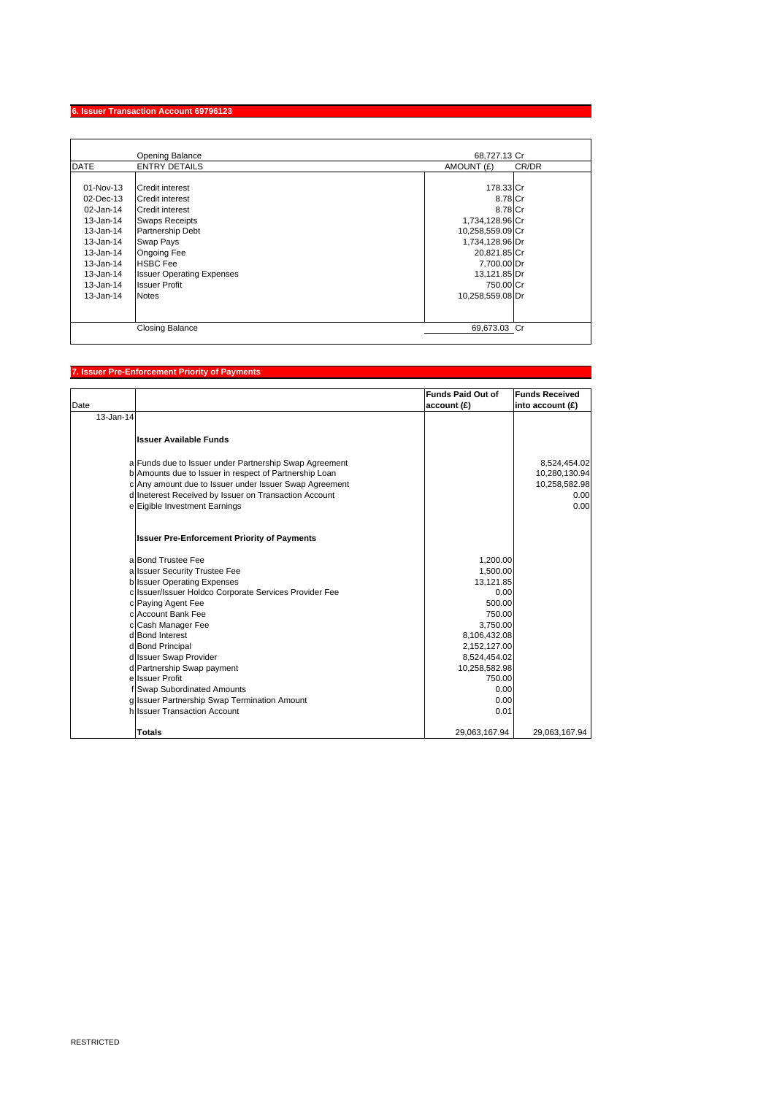### **6. Issuer Transaction Account 69796123**

|                                                                                                                                                            | <b>Opening Balance</b>                                                                                                                                                                                                                      | 68.727.13 Cr                                                                                                                                                              |       |
|------------------------------------------------------------------------------------------------------------------------------------------------------------|---------------------------------------------------------------------------------------------------------------------------------------------------------------------------------------------------------------------------------------------|---------------------------------------------------------------------------------------------------------------------------------------------------------------------------|-------|
| <b>DATE</b>                                                                                                                                                | <b>ENTRY DETAILS</b>                                                                                                                                                                                                                        | AMOUNT (£)                                                                                                                                                                | CR/DR |
| 01-Nov-13<br>$02$ -Dec-13<br>02-Jan-14<br>$13 - Jan-14$<br>13-Jan-14<br>13-Jan-14<br>13-Jan-14<br>13-Jan-14<br>$13 - Jan-14$<br>13-Jan-14<br>$13 - Jan-14$ | Credit interest<br>Credit interest<br><b>Credit interest</b><br><b>Swaps Receipts</b><br>Partnership Debt<br>Swap Pays<br><b>Ongoing Fee</b><br><b>HSBC Fee</b><br><b>Issuer Operating Expenses</b><br><b>Issuer Profit</b><br><b>Notes</b> | 178.33 Cr<br>8.78 Cr<br>8.78 Cr<br>1,734,128.96 Cr<br>10,258,559.09 Cr<br>1,734,128.96 Dr<br>20,821.85 Cr<br>7,700.00 Dr<br>13,121.85 Dr<br>750.00 Cr<br>10,258,559.08 Dr |       |
|                                                                                                                                                            | <b>Closing Balance</b>                                                                                                                                                                                                                      | 69.673.03 Cr                                                                                                                                                              |       |

## **7. Issuer Pre-Enforcement Priority of Payments**

| Date      |                                                        | <b>Funds Paid Out of</b><br>account (£) | <b>Funds Received</b><br>into account (£) |
|-----------|--------------------------------------------------------|-----------------------------------------|-------------------------------------------|
| 13-Jan-14 |                                                        |                                         |                                           |
|           | <b>Issuer Available Funds</b>                          |                                         |                                           |
|           | a Funds due to Issuer under Partnership Swap Agreement |                                         | 8,524,454.02                              |
|           | b Amounts due to Issuer in respect of Partnership Loan |                                         | 10,280,130.94                             |
|           | c Any amount due to Issuer under Issuer Swap Agreement |                                         | 10,258,582.98                             |
|           | d Ineterest Received by Issuer on Transaction Account  |                                         | 0.00                                      |
|           | e Eigible Investment Earnings                          |                                         | 0.00                                      |
|           | <b>Issuer Pre-Enforcement Priority of Payments</b>     |                                         |                                           |
|           | a Bond Trustee Fee                                     | 1,200.00                                |                                           |
|           | a Issuer Security Trustee Fee                          | 1,500.00                                |                                           |
|           | <b>b</b> Issuer Operating Expenses                     | 13,121.85                               |                                           |
|           | c Issuer/Issuer Holdco Corporate Services Provider Fee | 0.00                                    |                                           |
|           | c Paying Agent Fee                                     | 500.00                                  |                                           |
|           | c Account Bank Fee                                     | 750.00                                  |                                           |
|           | c Cash Manager Fee<br>d Bond Interest                  | 3,750.00<br>8,106,432.08                |                                           |
|           | d Bond Principal                                       | 2,152,127.00                            |                                           |
|           | d Issuer Swap Provider                                 | 8,524,454.02                            |                                           |
|           | d Partnership Swap payment                             | 10,258,582.98                           |                                           |
|           | e Issuer Profit                                        | 750.00                                  |                                           |
|           | f Swap Subordinated Amounts                            | 0.00                                    |                                           |
|           | g Issuer Partnership Swap Termination Amount           | 0.00                                    |                                           |
|           | hilssuer Transaction Account                           | 0.01                                    |                                           |
|           | <b>Totals</b>                                          | 29,063,167.94                           | 29,063,167.94                             |